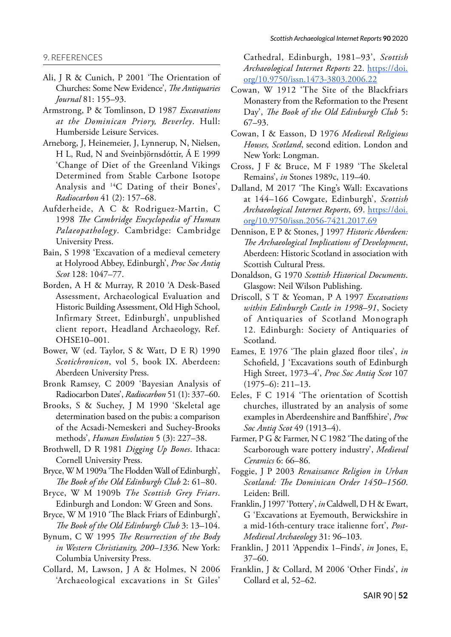## 9. REFERENCES

- Ali, J R & Cunich, P 2001 'The Orientation of Churches: Some New Evidence', *The Antiquaries Journal* 81: 155–93.
- Armstrong, P & Tomlinson, D 1987 *Excavations at the Dominican Priory, Beverley*. Hull: Humberside Leisure Services.
- Arneborg, J, Heinemeier, J, Lynnerup, N, Nielsen, H L, Rud, N and Sveinbjörnsdóttir, Á E 1999 'Change of Diet of the Greenland Vikings Determined from Stable Carbone Isotope Analysis and 14C Dating of their Bones', *Radiocarbon* 41 (2): 157–68.
- Aufderheide, A C & Rodriguez-Martin, C 1998 *The Cambridge Encyclopedia of Human Palaeopathology*. Cambridge: Cambridge University Press.
- Bain, S 1998 'Excavation of a medieval cemetery at Holyrood Abbey, Edinburgh', *Proc Soc Antiq Scot* 128: 1047–77.
- Borden, A H & Murray, R 2010 'A Desk-Based Assessment, Archaeological Evaluation and Historic Building Assessment, Old High School, Infirmary Street, Edinburgh', unpublished client report, Headland Archaeology, Ref. OHSE10–001.
- Bower, W (ed. Taylor, S & Watt, D E R) 1990 *Scotichronicon*, vol 5, book IX. Aberdeen: Aberdeen University Press.
- Bronk Ramsey, C 2009 'Bayesian Analysis of Radiocarbon Dates', *Radiocarbon* 51 (1): 337–60.
- Brooks, S & Suchey, J M 1990 'Skeletal age determination based on the pubis: a comparison of the Acsadi-Nemeskeri and Suchey-Brooks methods', *Human Evolution* 5 (3): 227–38.
- Brothwell, D R 1981 *Digging Up Bones*. Ithaca: Cornell University Press.
- Bryce, W M 1909a 'The Flodden Wall of Edinburgh', *The Book of the Old Edinburgh Club* 2: 61–80.
- Bryce, W M 1909b *The Scottish Grey Friars*. Edinburgh and London: W Green and Sons.
- Bryce, W M 1910 'The Black Friars of Edinburgh', *The Book of the Old Edinburgh Club* 3: 13–104.
- Bynum, C W 1995 *The Resurrection of the Body in Western Christianity, 200–1336*. New York: Columbia University Press.
- Collard, M, Lawson, J A & Holmes, N 2006 'Archaeological excavations in St Giles'

Cathedral, Edinburgh, 1981–93', *Scottish Archaeological Internet Reports* 22. [https://doi.](https://doi.org/10.9750/issn.1473-3803.2006.22) [org/10.9750/issn.1473-3803.2006.22](https://doi.org/10.9750/issn.1473-3803.2006.22)

- Cowan, W 1912 'The Site of the Blackfriars Monastery from the Reformation to the Present Day', *The Book of the Old Edinburgh Club* 5: 67–93.
- Cowan, I & Easson, D 1976 *Medieval Religious Houses, Scotland*, second edition. London and New York: Longman.
- Cross, J F & Bruce, M F 1989 'The Skeletal Remains', *in* Stones 1989c, 119–40.
- Dalland, M 2017 'The King's Wall: Excavations at 144–166 Cowgate, Edinburgh', *Scottish Archaeological Internet Reports*, 69. [https://doi.](https://doi.org/10.9750/issn.2056-7421.2017.69) [org/10.9750/issn.2056-7421.2017.69](https://doi.org/10.9750/issn.2056-7421.2017.69)
- Dennison, E P & Stones, J 1997 *Historic Aberdeen: The Archaeological Implications of Development*, Aberdeen: Historic Scotland in association with Scottish Cultural Press.
- Donaldson, G 1970 *Scottish Historical Documents*. Glasgow: Neil Wilson Publishing.
- Driscoll, S T & Yeoman, P A 1997 *Excavations within Edinburgh Castle in 1998–91*, Society of Antiquaries of Scotland Monograph 12. Edinburgh: Society of Antiquaries of Scotland.
- Eames, E 1976 'The plain glazed floor tiles', *in* Schofield, J 'Excavations south of Edinburgh High Street, 1973–4', *Proc Soc Antiq Scot* 107 (1975–6): 211–13.
- Eeles, F C 1914 'The orientation of Scottish churches, illustrated by an analysis of some examples in Aberdeenshire and Banffshire', *Proc Soc Antiq Scot* 49 (1913–4).
- Farmer, P G & Farmer, N C 1982 'The dating of the Scarborough ware pottery industry', *Medieval Ceramics* 6: 66–86.
- Foggie, J P 2003 *Renaissance Religion in Urban Scotland: The Dominican Order 1450–1560*. Leiden: Brill.
- Franklin, J 1997 'Pottery', *in* Caldwell, D H & Ewart, G 'Excavations at Eyemouth, Berwickshire in a mid-16th-century trace italienne fort', *Post-Medieval Archaeology* 31: 96–103.
- Franklin, J 2011 'Appendix 1–Finds', *in* Jones, E, 37–60.
- Franklin, J & Collard, M 2006 'Other Finds', *in* Collard et al, 52–62.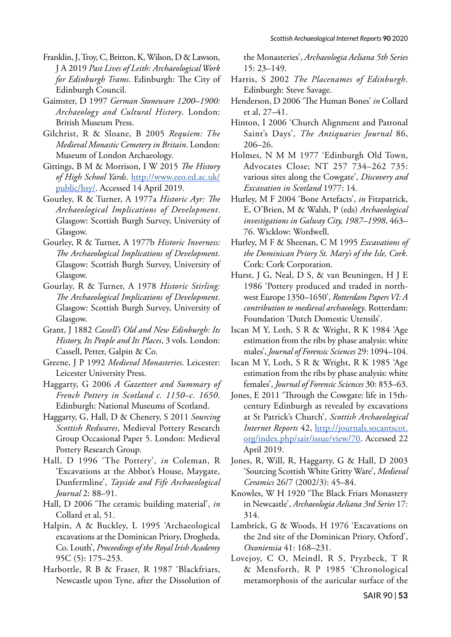- Franklin, J, Troy, C, Britton, K, Wilson, D & Lawson, J A 2019 *Past Lives of Leith: Archaeological Work for Edinburgh Trams*. Edinburgh: The City of Edinburgh Council.
- Gaimster, D 1997 *German Stoneware 1200–1900: Archaeology and Cultural History*. London: British Museum Press.
- Gilchrist, R & Sloane, B 2005 *Requiem: The Medieval Monastic Cemetery in Britain*. London: Museum of London Archaeology.
- Gittings, B M & Morrison, I W 2015 *The History of High School Yards*. [http://www.eeo.ed.ac.uk/](http://www.eeo.ed.ac.uk/public/hsy/) [public/hsy/.](http://www.eeo.ed.ac.uk/public/hsy/) Accessed 14 April 2019.
- Gourley, R & Turner, A 1977a *Historic Ayr: The Archaeological Implications of Development*. Glasgow: Scottish Burgh Survey, University of Glasgow.
- Gourley, R & Turner, A 1977b *Historic Inverness: The Archaeological Implications of Development*. Glasgow: Scottish Burgh Survey, University of Glasgow.
- Gourlay, R & Turner, A 1978 *Historic Stirling: The Archaeological Implications of Development*. Glasgow: Scottish Burgh Survey, University of Glasgow.
- Grant, J 1882 *Cassell's Old and New Edinburgh: Its History, Its People and Its Places*, 3 vols. London: Cassell, Petter, Galpin & Co.
- Greene, J P 1992 *Medieval Monasteries*. Leicester: Leicester University Press.
- Haggarty, G 2006 *A Gazetteer and Summary of French Pottery in Scotland c. 1150–c. 1650*. Edinburgh: National Museums of Scotland.
- Haggarty, G, Hall, D & Chenery, S 2011 *Sourcing Scottish Redwares*, Medieval Pottery Research Group Occasional Paper 5. London: Medieval Pottery Research Group.
- Hall, D 1996 'The Pottery', *in* Coleman, R 'Excavations at the Abbot's House, Maygate, Dunfermline', *Tayside and Fife Archaeological Journal* 2: 88–91.
- Hall, D 2006 'The ceramic building material', *in* Collard et al, 51.
- Halpin, A & Buckley, L 1995 'Archaeological excavations at the Dominican Priory, Drogheda, Co. Louth', *Proceedings of the Royal Irish Academy* 95C (5): 175–253.
- Harbottle, R B & Fraser, R 1987 'Blackfriars, Newcastle upon Tyne, after the Dissolution of

the Monasteries', *Archaeologia Aeliana 5th Series* 15: 23–149.

- Harris, S 2002 *The Placenames of Edinburgh*. Edinburgh: Steve Savage.
- Henderson, D 2006 'The Human Bones' *in* Collard et al, 27–41.
- Hinton, I 2006 'Church Alignment and Patronal Saint's Days', *The Antiquaries Journal* 86, 206–26.
- Holmes, N M M 1977 'Edinburgh Old Town, Advocates Close; NT 257 734–262 735: various sites along the Cowgate', *Discovery and Excavation in Scotland* 1977: 14.
- Hurley, M F 2004 'Bone Artefacts', *in* Fitzpatrick, E, O'Brien, M & Walsh, P (eds) *Archaeological investigations in Galway City, 1987–1998*, 463– 76. Wicklow: Wordwell.
- Hurley, M F & Sheenan, C M 1995 *Excavations of the Dominican Priory St. Mary's of the Isle, Cork*. Cork: Cork Corporation.
- Hurst, J G, Neal, D S, & van Beuningen, H J E 1986 'Pottery produced and traded in northwest Europe 1350–1650', *Rotterdam Papers VI: A contribution to medieval archaeology*. Rotterdam: Foundation 'Dutch Domestic Utensils'.
- Iscan M Y, Loth, S R & Wright, R K 1984 'Age estimation from the ribs by phase analysis: white males', *Journal of Forensic Sciences* 29: 1094–104.
- Iscan M Y, Loth, S R & Wright, R K 1985 'Age estimation from the ribs by phase analysis: white females', *Journal of Forensic Sciences* 30: 853–63.
- Jones, E 2011 'Through the Cowgate: life in 15thcentury Edinburgh as revealed by excavations at St Patrick's Church', *Scottish Archaeological Internet Reports* 42, [http://journals.socantscot.](http://journals.socantscot.org/index.php/sair/issue/view/70) [org/index.php/sair/issue/view/70.](http://journals.socantscot.org/index.php/sair/issue/view/70) Accessed 22 April 2019.
- Jones, R, Will, R, Haggarty, G & Hall, D 2003 'Sourcing Scottish White Gritty Ware', *Medieval Ceramics* 26/7 (2002/3): 45–84.
- Knowles, W H 1920 'The Black Friars Monastery in Newcastle', *Archaeologia Aeliana 3rd Series* 17: 314.
- Lambrick, G & Woods, H 1976 'Excavations on the 2nd site of the Dominican Priory, Oxford', *Oxoniensia* 41: 168–231.
- Lovejoy, C O, Meindl, R S, Pryzbeck, T R & Mensforth, R P 1985 'Chronological metamorphosis of the auricular surface of the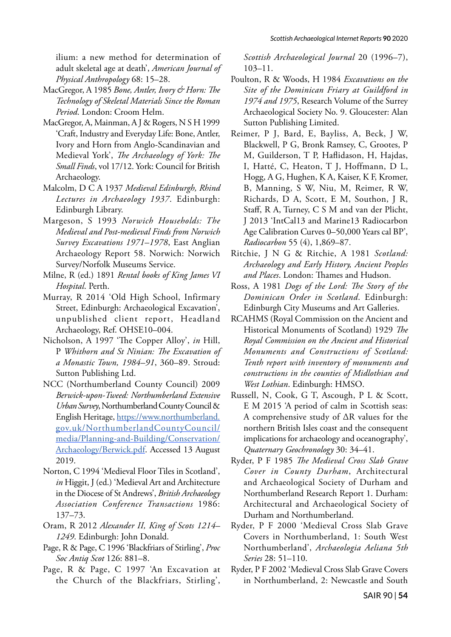ilium: a new method for determination of adult skeletal age at death', *American Journal of Physical Anthropology* 68: 15–28.

- MacGregor, A 1985 *Bone, Antler, Ivory & Horn: The Technology of Skeletal Materials Since the Roman Period*. London: Croom Helm.
- MacGregor, A, Mainman, A J & Rogers, N S H 1999 'Craft, Industry and Everyday Life: Bone, Antler, Ivory and Horn from Anglo-Scandinavian and Medieval York', *The Archaeology of York: The Small Finds*, vol 17/12. York: Council for British Archaeology.
- Malcolm, D C A 1937 *Medieval Edinburgh, Rhind Lectures in Archaeology 1937*. Edinburgh: Edinburgh Library.
- Margeson, S 1993 *Norwich Households: The Medieval and Post-medieval Finds from Norwich Survey Excavations 1971–1978*, East Anglian Archaeology Report 58. Norwich: Norwich Survey/Norfolk Museums Service.
- Milne, R (ed.) 1891 *Rental books of King James VI Hospital*. Perth.
- Murray, R 2014 'Old High School, Infirmary Street, Edinburgh: Archaeological Excavation', unpublished client report, Headland Archaeology, Ref. OHSE10–004.
- Nicholson, A 1997 'The Copper Alloy', *in* Hill, P *Whithorn and St Ninian: The Excavation of a Monastic Town, 1984–91*, 360–89. Stroud: Sutton Publishing Ltd.
- NCC (Northumberland County Council) 2009 *Berwick-upon-Tweed: Northumberland Extensive Urban Survey*, Northumberland County Council & English Heritage, [https://www.northumberland.](https://www.northumberland.gov.uk/NorthumberlandCountyCouncil/media/Planning-and-Building/Conservation/Archaeology/Berwick.pdf) [gov.uk/NorthumberlandCountyCouncil/](https://www.northumberland.gov.uk/NorthumberlandCountyCouncil/media/Planning-and-Building/Conservation/Archaeology/Berwick.pdf) [media/Planning-and-Building/Conservation/](https://www.northumberland.gov.uk/NorthumberlandCountyCouncil/media/Planning-and-Building/Conservation/Archaeology/Berwick.pdf) [Archaeology/Berwick.pdf](https://www.northumberland.gov.uk/NorthumberlandCountyCouncil/media/Planning-and-Building/Conservation/Archaeology/Berwick.pdf). Accessed 13 August 2019.
- Norton, C 1994 'Medieval Floor Tiles in Scotland', *in* Higgit, J (ed.) 'Medieval Art and Architecture in the Diocese of St Andrews', *British Archaeology Association Conference Transactions* 1986: 137–73.
- Oram, R 2012 *Alexander II, King of Scots 1214– 1249*. Edinburgh: John Donald.
- Page, R & Page, C 1996 'Blackfriars of Stirling', *Proc Soc Antiq Scot* 126: 881–8.
- Page, R & Page, C 1997 'An Excavation at the Church of the Blackfriars, Stirling',

*Scottish Archaeological Journal* 20 (1996–7), 103–11.

- Poulton, R & Woods, H 1984 *Excavations on the Site of the Dominican Friary at Guildford in 1974 and 1975*, Research Volume of the Surrey Archaeological Society No. 9. Gloucester: Alan Sutton Publishing Limited.
- Reimer, P J, Bard, E, Bayliss, A, Beck, J W, Blackwell, P G, Bronk Ramsey, C, Grootes, P M, Guilderson, T P, Haflidason, H, Hajdas, I, Hatté, C, Heaton, T J, Hoffmann, D L, Hogg, A G, Hughen, K A, Kaiser, K F, Kromer, B, Manning, S W, Niu, M, Reimer, R W, Richards, D A, Scott, E M, Southon, J R, Staff, R A, Turney, C S M and van der Plicht, J 2013 'IntCal13 and Marine13 Radiocarbon Age Calibration Curves 0–50,000 Years cal BP', *Radiocarbon* 55 (4), 1,869–87.
- Ritchie, J N G & Ritchie, A 1981 *Scotland: Archaeology and Early History, Ancient Peoples and Places*. London: Thames and Hudson.
- Ross, A 1981 *Dogs of the Lord: The Story of the Dominican Order in Scotland*. Edinburgh: Edinburgh City Museums and Art Galleries.
- RCAHMS (Royal Commission on the Ancient and Historical Monuments of Scotland) 1929 *The Royal Commission on the Ancient and Historical Monuments and Constructions of Scotland: Tenth report with inventory of monuments and constructions in the counties of Midlothian and West Lothian*. Edinburgh: HMSO.
- Russell, N, Cook, G T, Ascough, P L & Scott, E M 2015 'A period of calm in Scottish seas: A comprehensive study of ∆R values for the northern British Isles coast and the consequent implications for archaeology and oceanography', *Quaternary Geochronology* 30: 34–41.
- Ryder, P F 1985 *The Medieval Cross Slab Grave Cover in County Durham*, Architectural and Archaeological Society of Durham and Northumberland Research Report 1. Durham: Architectural and Archaeological Society of Durham and Northumberland.
- Ryder, P F 2000 'Medieval Cross Slab Grave Covers in Northumberland, 1: South West Northumberland', *Archaeologia Aeliana 5th Series* 28: 51–110.
- Ryder, P F 2002 'Medieval Cross Slab Grave Covers in Northumberland, 2: Newcastle and South